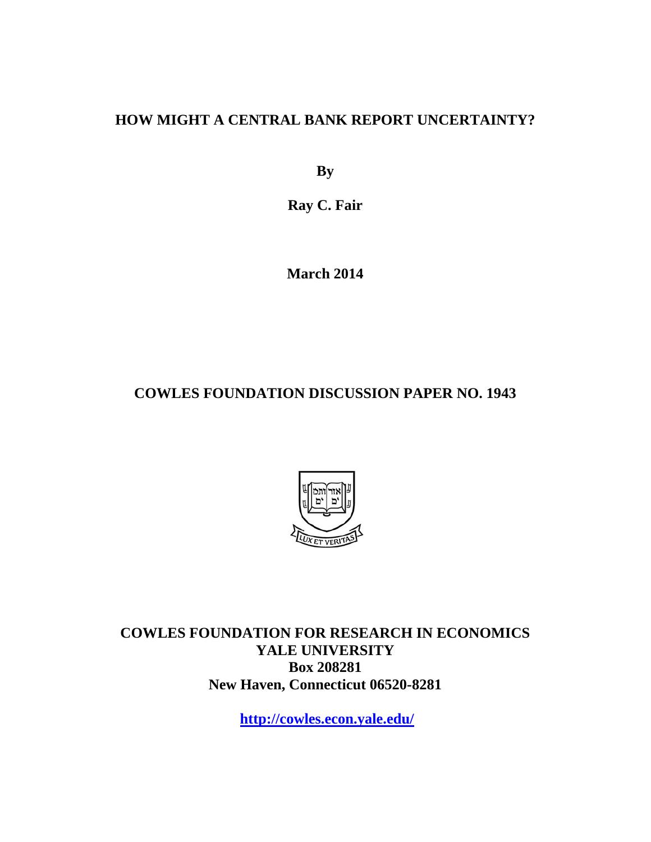#### **HOW MIGHT A CENTRAL BANK REPORT UNCERTAINTY?**

**By** 

**Ray C. Fair** 

### **March 2014**

# **COWLES FOUNDATION DISCUSSION PAPER NO. 1943**



**COWLES FOUNDATION FOR RESEARCH IN ECONOMICS YALE UNIVERSITY Box 208281 New Haven, Connecticut 06520-8281** 

**http://cowles.econ.yale.edu/**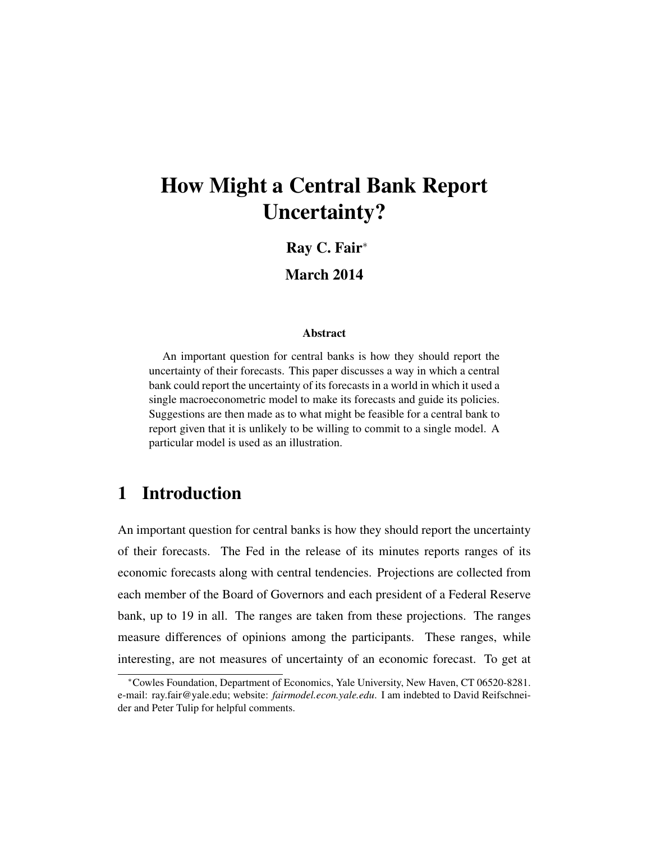# How Might a Central Bank Report Uncertainty?

Ray C. Fair<sup>∗</sup>

March 2014

#### Abstract

An important question for central banks is how they should report the uncertainty of their forecasts. This paper discusses a way in which a central bank could report the uncertainty of its forecasts in a world in which it used a single macroeconometric model to make its forecasts and guide its policies. Suggestions are then made as to what might be feasible for a central bank to report given that it is unlikely to be willing to commit to a single model. A particular model is used as an illustration.

## 1 Introduction

An important question for central banks is how they should report the uncertainty of their forecasts. The Fed in the release of its minutes reports ranges of its economic forecasts along with central tendencies. Projections are collected from each member of the Board of Governors and each president of a Federal Reserve bank, up to 19 in all. The ranges are taken from these projections. The ranges measure differences of opinions among the participants. These ranges, while interesting, are not measures of uncertainty of an economic forecast. To get at

<sup>∗</sup>Cowles Foundation, Department of Economics, Yale University, New Haven, CT 06520-8281. e-mail: ray.fair@yale.edu; website: *fairmodel.econ.yale.edu*. I am indebted to David Reifschneider and Peter Tulip for helpful comments.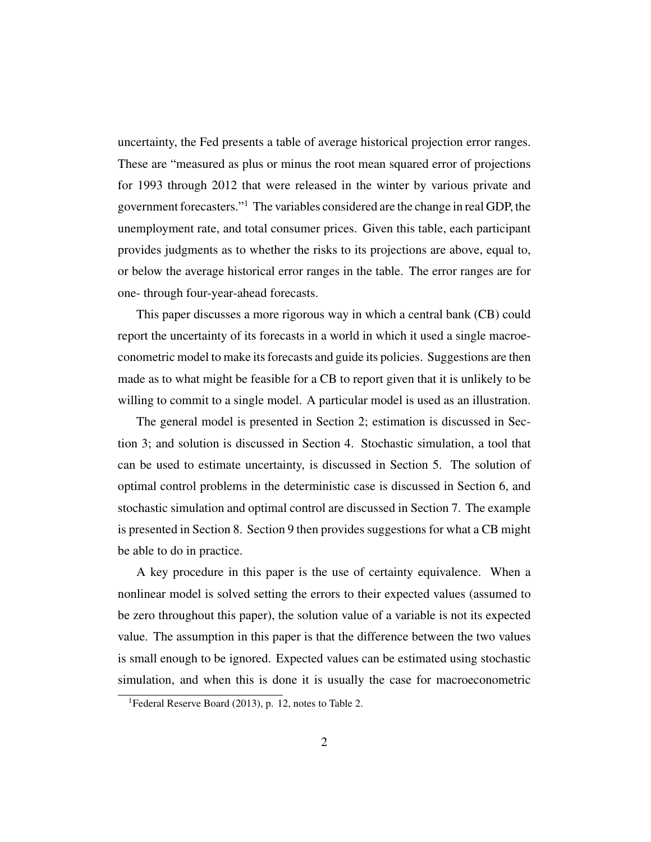uncertainty, the Fed presents a table of average historical projection error ranges. These are "measured as plus or minus the root mean squared error of projections for 1993 through 2012 that were released in the winter by various private and government forecasters."<sup>1</sup> The variables considered are the change in real GDP, the unemployment rate, and total consumer prices. Given this table, each participant provides judgments as to whether the risks to its projections are above, equal to, or below the average historical error ranges in the table. The error ranges are for one- through four-year-ahead forecasts.

This paper discusses a more rigorous way in which a central bank (CB) could report the uncertainty of its forecasts in a world in which it used a single macroeconometric model to make its forecasts and guide its policies. Suggestions are then made as to what might be feasible for a CB to report given that it is unlikely to be willing to commit to a single model. A particular model is used as an illustration.

The general model is presented in Section 2; estimation is discussed in Section 3; and solution is discussed in Section 4. Stochastic simulation, a tool that can be used to estimate uncertainty, is discussed in Section 5. The solution of optimal control problems in the deterministic case is discussed in Section 6, and stochastic simulation and optimal control are discussed in Section 7. The example is presented in Section 8. Section 9 then provides suggestions for what a CB might be able to do in practice.

A key procedure in this paper is the use of certainty equivalence. When a nonlinear model is solved setting the errors to their expected values (assumed to be zero throughout this paper), the solution value of a variable is not its expected value. The assumption in this paper is that the difference between the two values is small enough to be ignored. Expected values can be estimated using stochastic simulation, and when this is done it is usually the case for macroeconometric

<sup>&</sup>lt;sup>1</sup>Federal Reserve Board (2013), p. 12, notes to Table 2.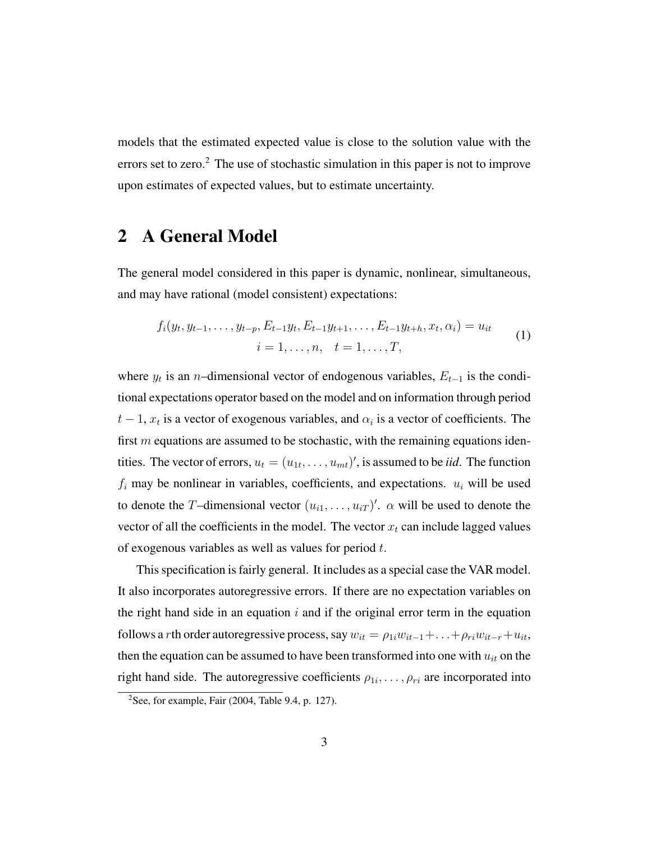models that the estimated expected value is close to the solution value with the errors set to zero. $<sup>2</sup>$  The use of stochastic simulation in this paper is not to improve</sup> upon estimates of expected values, but to estimate uncertainty.

#### 2 A General Model

The general model considered in this paper is dynamic, nonlinear, simultaneous, and may have rational (model consistent) expectations:

$$
f_i(y_t, y_{t-1}, \dots, y_{t-p}, E_{t-1}y_t, E_{t-1}y_{t+1}, \dots, E_{t-1}y_{t+h}, x_t, \alpha_i) = u_{it}
$$
  
\n
$$
i = 1, \dots, n, \quad t = 1, \dots, T,
$$
 (1)

where  $y_t$  is an *n*–dimensional vector of endogenous variables,  $E_{t-1}$  is the conditional expectations operator based on the model and on information through period  $t-1$ ,  $x_t$  is a vector of exogenous variables, and  $\alpha_i$  is a vector of coefficients. The first  $m$  equations are assumed to be stochastic, with the remaining equations identities. The vector of errors,  $u_t = (u_{1t}, \dots, u_{mt})'$ , is assumed to be *iid*. The function  $f_i$  may be nonlinear in variables, coefficients, and expectations.  $u_i$  will be used to denote the T-dimensional vector  $(u_{i1},...,u_{iT})'$ .  $\alpha$  will be used to denote the vector of all the coefficients in the model. The vector  $x_t$  can include lagged values of exogenous variables as well as values for period t.

This specification is fairly general. It includes as a special case the VAR model. It also incorporates autoregressive errors. If there are no expectation variables on the right hand side in an equation  $i$  and if the original error term in the equation follows a rth order autoregressive process, say  $w_{it} = \rho_{1i} w_{it-1} + \ldots + \rho_{ri} w_{it-r} + u_{it}$ , then the equation can be assumed to have been transformed into one with  $u_{it}$  on the right hand side. The autoregressive coefficients  $\rho_{1i}, \ldots, \rho_{ri}$  are incorporated into

<sup>&</sup>lt;sup>2</sup>See, for example, Fair  $(2004, \text{Table 9.4}, p. 127)$ .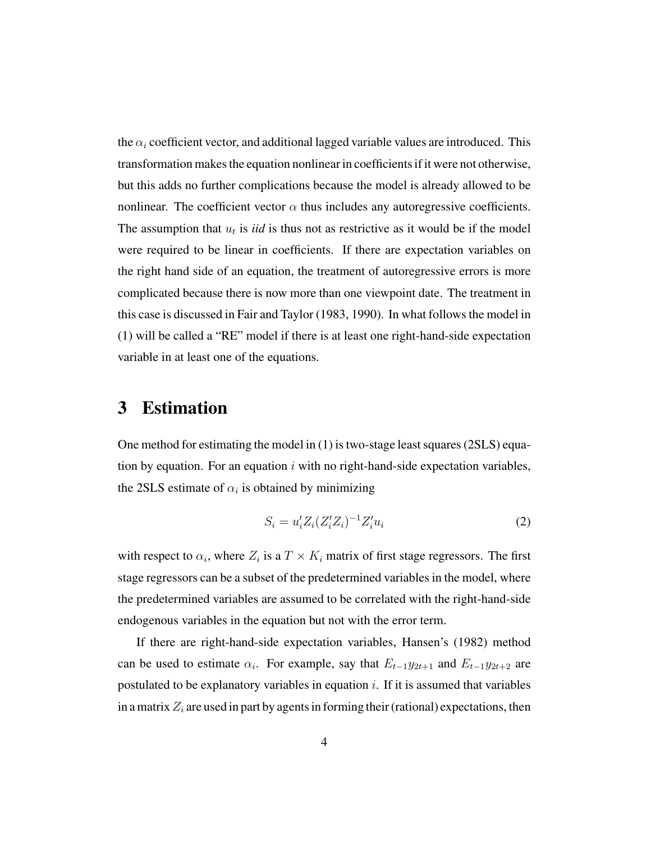the  $\alpha_i$  coefficient vector, and additional lagged variable values are introduced. This transformation makes the equation nonlinear in coefficients if it were not otherwise, but this adds no further complications because the model is already allowed to be nonlinear. The coefficient vector  $\alpha$  thus includes any autoregressive coefficients. The assumption that  $u_t$  is *iid* is thus not as restrictive as it would be if the model were required to be linear in coefficients. If there are expectation variables on the right hand side of an equation, the treatment of autoregressive errors is more complicated because there is now more than one viewpoint date. The treatment in this case is discussed in Fair and Taylor (1983, 1990). In what follows the model in (1) will be called a "RE" model if there is at least one right-hand-side expectation variable in at least one of the equations.

#### 3 Estimation

One method for estimating the model in  $(1)$  is two-stage least squares  $(2SLS)$  equation by equation. For an equation  $i$  with no right-hand-side expectation variables, the 2SLS estimate of  $\alpha_i$  is obtained by minimizing

$$
S_i = u_i' Z_i (Z_i' Z_i)^{-1} Z_i' u_i \tag{2}
$$

with respect to  $\alpha_i$ , where  $Z_i$  is a  $T \times K_i$  matrix of first stage regressors. The first stage regressors can be a subset of the predetermined variables in the model, where the predetermined variables are assumed to be correlated with the right-hand-side endogenous variables in the equation but not with the error term.

If there are right-hand-side expectation variables, Hansen's (1982) method can be used to estimate  $\alpha_i$ . For example, say that  $E_{t-1}y_{2t+1}$  and  $E_{t-1}y_{2t+2}$  are postulated to be explanatory variables in equation  $i$ . If it is assumed that variables in a matrix  $Z_i$  are used in part by agents in forming their (rational) expectations, then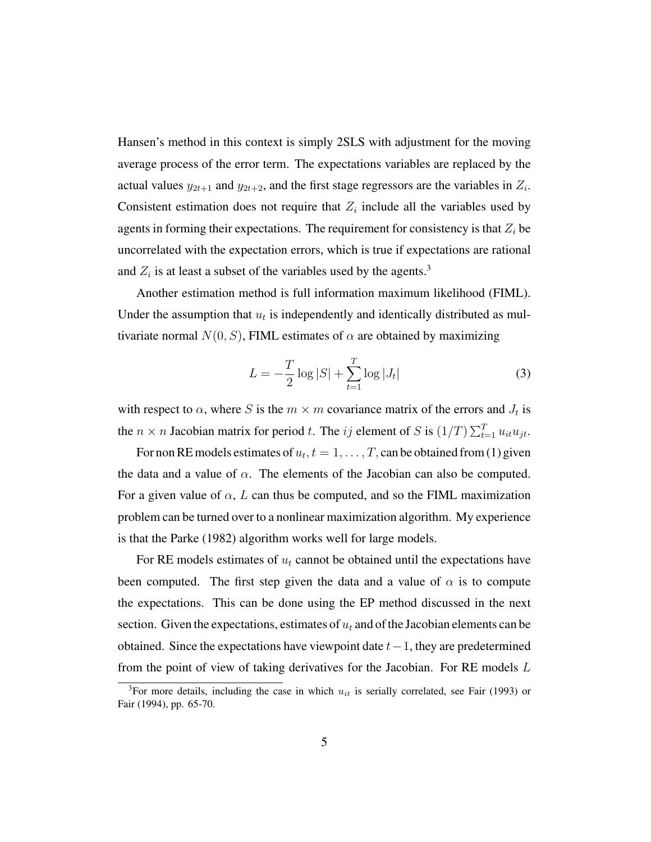Hansen's method in this context is simply 2SLS with adjustment for the moving average process of the error term. The expectations variables are replaced by the actual values  $y_{2t+1}$  and  $y_{2t+2}$ , and the first stage regressors are the variables in  $Z_i$ . Consistent estimation does not require that  $Z_i$  include all the variables used by agents in forming their expectations. The requirement for consistency is that  $Z_i$  be uncorrelated with the expectation errors, which is true if expectations are rational and  $Z_i$  is at least a subset of the variables used by the agents.<sup>3</sup>

Another estimation method is full information maximum likelihood (FIML). Under the assumption that  $u_t$  is independently and identically distributed as multivariate normal  $N(0, S)$ , FIML estimates of  $\alpha$  are obtained by maximizing

$$
L = -\frac{T}{2}\log|S| + \sum_{t=1}^{T}\log|J_t|
$$
 (3)

with respect to  $\alpha$ , where S is the  $m \times m$  covariance matrix of the errors and  $J_t$  is the  $n \times n$  Jacobian matrix for period t. The ij element of S is  $(1/T) \sum_{t=1}^{T} u_{it} u_{jt}$ .

For non RE models estimates of  $u_t$ ,  $t = 1, \ldots, T$ , can be obtained from (1) given the data and a value of  $\alpha$ . The elements of the Jacobian can also be computed. For a given value of  $\alpha$ , L can thus be computed, and so the FIML maximization problem can be turned over to a nonlinear maximization algorithm. My experience is that the Parke (1982) algorithm works well for large models.

For RE models estimates of  $u_t$  cannot be obtained until the expectations have been computed. The first step given the data and a value of  $\alpha$  is to compute the expectations. This can be done using the EP method discussed in the next section. Given the expectations, estimates of  $u_t$  and of the Jacobian elements can be obtained. Since the expectations have viewpoint date  $t-1$ , they are predetermined from the point of view of taking derivatives for the Jacobian. For RE models L

<sup>&</sup>lt;sup>3</sup>For more details, including the case in which  $u_{it}$  is serially correlated, see Fair (1993) or Fair (1994), pp. 65-70.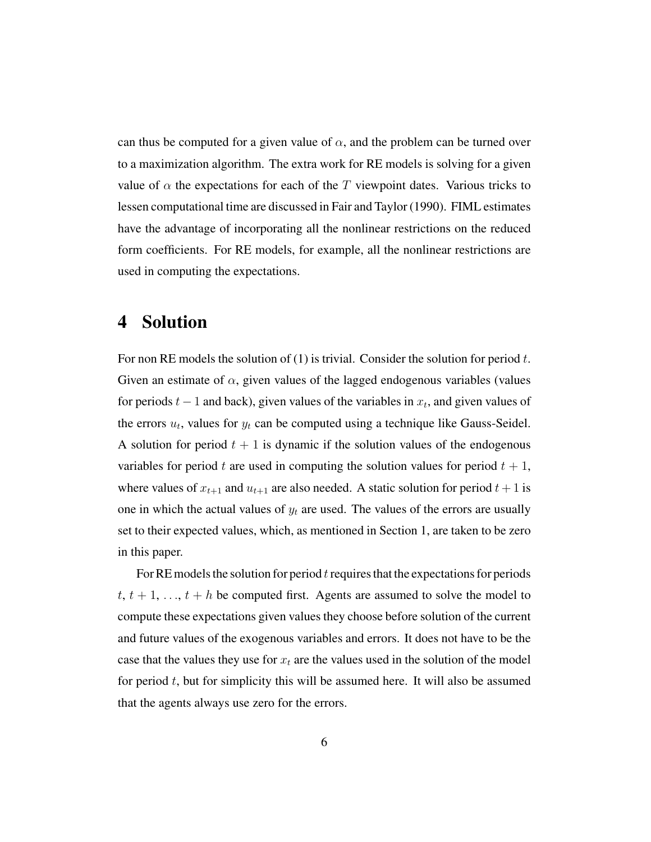can thus be computed for a given value of  $\alpha$ , and the problem can be turned over to a maximization algorithm. The extra work for RE models is solving for a given value of  $\alpha$  the expectations for each of the T viewpoint dates. Various tricks to lessen computational time are discussed in Fair and Taylor (1990). FIML estimates have the advantage of incorporating all the nonlinear restrictions on the reduced form coefficients. For RE models, for example, all the nonlinear restrictions are used in computing the expectations.

#### 4 Solution

For non RE models the solution of  $(1)$  is trivial. Consider the solution for period t. Given an estimate of  $\alpha$ , given values of the lagged endogenous variables (values for periods  $t - 1$  and back), given values of the variables in  $x_t$ , and given values of the errors  $u_t$ , values for  $y_t$  can be computed using a technique like Gauss-Seidel. A solution for period  $t + 1$  is dynamic if the solution values of the endogenous variables for period t are used in computing the solution values for period  $t + 1$ , where values of  $x_{t+1}$  and  $u_{t+1}$  are also needed. A static solution for period  $t+1$  is one in which the actual values of  $y_t$  are used. The values of the errors are usually set to their expected values, which, as mentioned in Section 1, are taken to be zero in this paper.

For RE models the solution for period  $t$  requires that the expectations for periods  $t, t + 1, \ldots, t + h$  be computed first. Agents are assumed to solve the model to compute these expectations given values they choose before solution of the current and future values of the exogenous variables and errors. It does not have to be the case that the values they use for  $x_t$  are the values used in the solution of the model for period  $t$ , but for simplicity this will be assumed here. It will also be assumed that the agents always use zero for the errors.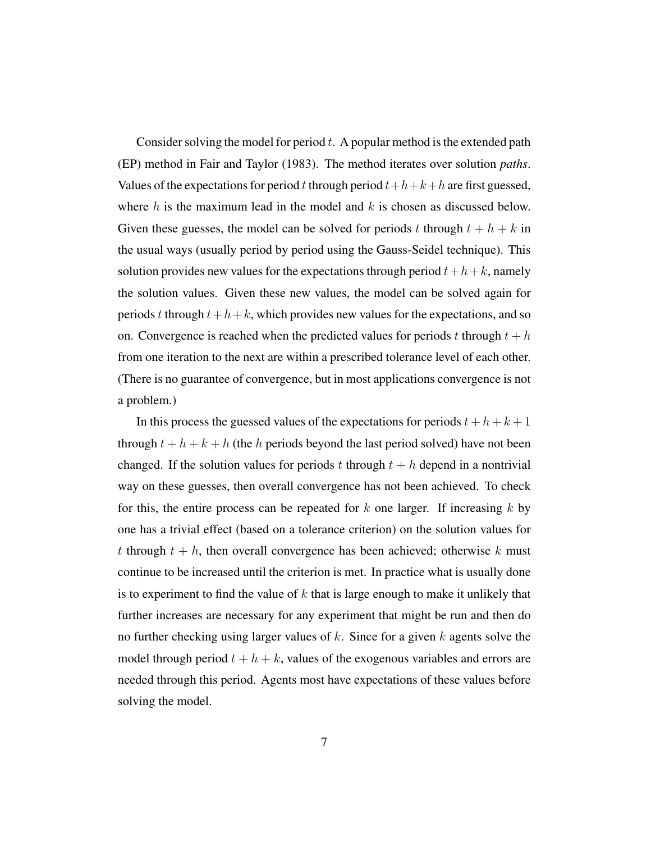Consider solving the model for period  $t$ . A popular method is the extended path (EP) method in Fair and Taylor (1983). The method iterates over solution *paths*. Values of the expectations for period t through period  $t+h+k+h$  are first guessed, where h is the maximum lead in the model and  $k$  is chosen as discussed below. Given these guesses, the model can be solved for periods t through  $t + h + k$  in the usual ways (usually period by period using the Gauss-Seidel technique). This solution provides new values for the expectations through period  $t+h+k$ , namely the solution values. Given these new values, the model can be solved again for periods t through  $t+h+k$ , which provides new values for the expectations, and so on. Convergence is reached when the predicted values for periods t through  $t + h$ from one iteration to the next are within a prescribed tolerance level of each other. (There is no guarantee of convergence, but in most applications convergence is not a problem.)

In this process the guessed values of the expectations for periods  $t + h + k + 1$ through  $t + h + k + h$  (the h periods beyond the last period solved) have not been changed. If the solution values for periods t through  $t + h$  depend in a nontrivial way on these guesses, then overall convergence has not been achieved. To check for this, the entire process can be repeated for  $k$  one larger. If increasing  $k$  by one has a trivial effect (based on a tolerance criterion) on the solution values for t through  $t + h$ , then overall convergence has been achieved; otherwise k must continue to be increased until the criterion is met. In practice what is usually done is to experiment to find the value of  $k$  that is large enough to make it unlikely that further increases are necessary for any experiment that might be run and then do no further checking using larger values of  $k$ . Since for a given  $k$  agents solve the model through period  $t + h + k$ , values of the exogenous variables and errors are needed through this period. Agents most have expectations of these values before solving the model.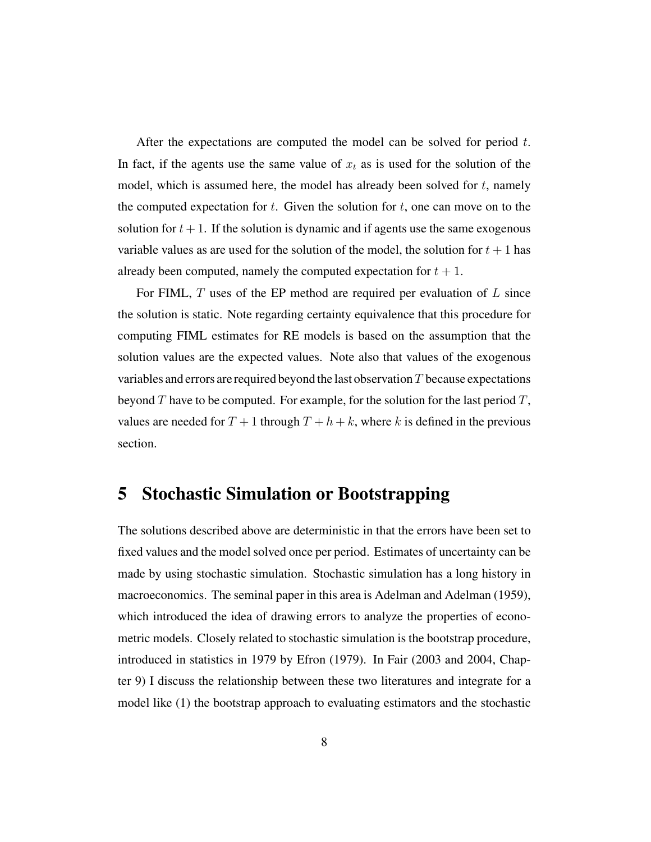After the expectations are computed the model can be solved for period  $t$ . In fact, if the agents use the same value of  $x_t$  as is used for the solution of the model, which is assumed here, the model has already been solved for  $t$ , namely the computed expectation for t. Given the solution for t, one can move on to the solution for  $t + 1$ . If the solution is dynamic and if agents use the same exogenous variable values as are used for the solution of the model, the solution for  $t + 1$  has already been computed, namely the computed expectation for  $t + 1$ .

For FIML,  $T$  uses of the EP method are required per evaluation of  $L$  since the solution is static. Note regarding certainty equivalence that this procedure for computing FIML estimates for RE models is based on the assumption that the solution values are the expected values. Note also that values of the exogenous variables and errors are required beyond the last observation  $T$  because expectations beyond T have to be computed. For example, for the solution for the last period  $T$ , values are needed for  $T + 1$  through  $T + h + k$ , where k is defined in the previous section.

#### 5 Stochastic Simulation or Bootstrapping

The solutions described above are deterministic in that the errors have been set to fixed values and the model solved once per period. Estimates of uncertainty can be made by using stochastic simulation. Stochastic simulation has a long history in macroeconomics. The seminal paper in this area is Adelman and Adelman (1959), which introduced the idea of drawing errors to analyze the properties of econometric models. Closely related to stochastic simulation is the bootstrap procedure, introduced in statistics in 1979 by Efron (1979). In Fair (2003 and 2004, Chapter 9) I discuss the relationship between these two literatures and integrate for a model like (1) the bootstrap approach to evaluating estimators and the stochastic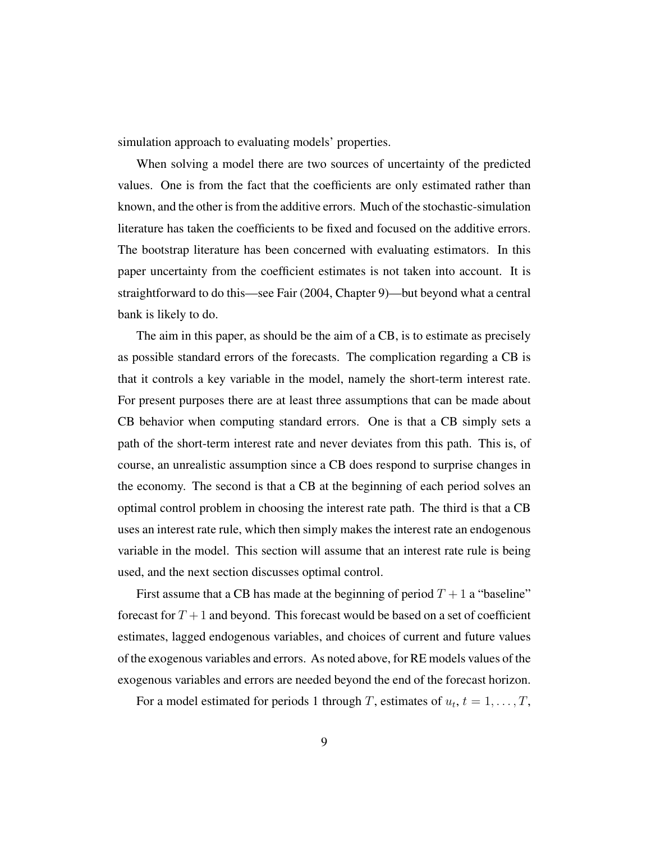simulation approach to evaluating models' properties.

When solving a model there are two sources of uncertainty of the predicted values. One is from the fact that the coefficients are only estimated rather than known, and the other is from the additive errors. Much of the stochastic-simulation literature has taken the coefficients to be fixed and focused on the additive errors. The bootstrap literature has been concerned with evaluating estimators. In this paper uncertainty from the coefficient estimates is not taken into account. It is straightforward to do this—see Fair (2004, Chapter 9)—but beyond what a central bank is likely to do.

The aim in this paper, as should be the aim of a CB, is to estimate as precisely as possible standard errors of the forecasts. The complication regarding a CB is that it controls a key variable in the model, namely the short-term interest rate. For present purposes there are at least three assumptions that can be made about CB behavior when computing standard errors. One is that a CB simply sets a path of the short-term interest rate and never deviates from this path. This is, of course, an unrealistic assumption since a CB does respond to surprise changes in the economy. The second is that a CB at the beginning of each period solves an optimal control problem in choosing the interest rate path. The third is that a CB uses an interest rate rule, which then simply makes the interest rate an endogenous variable in the model. This section will assume that an interest rate rule is being used, and the next section discusses optimal control.

First assume that a CB has made at the beginning of period  $T + 1$  a "baseline" forecast for  $T + 1$  and beyond. This forecast would be based on a set of coefficient estimates, lagged endogenous variables, and choices of current and future values of the exogenous variables and errors. As noted above, for RE models values of the exogenous variables and errors are needed beyond the end of the forecast horizon.

For a model estimated for periods 1 through T, estimates of  $u_t$ ,  $t = 1, \ldots, T$ ,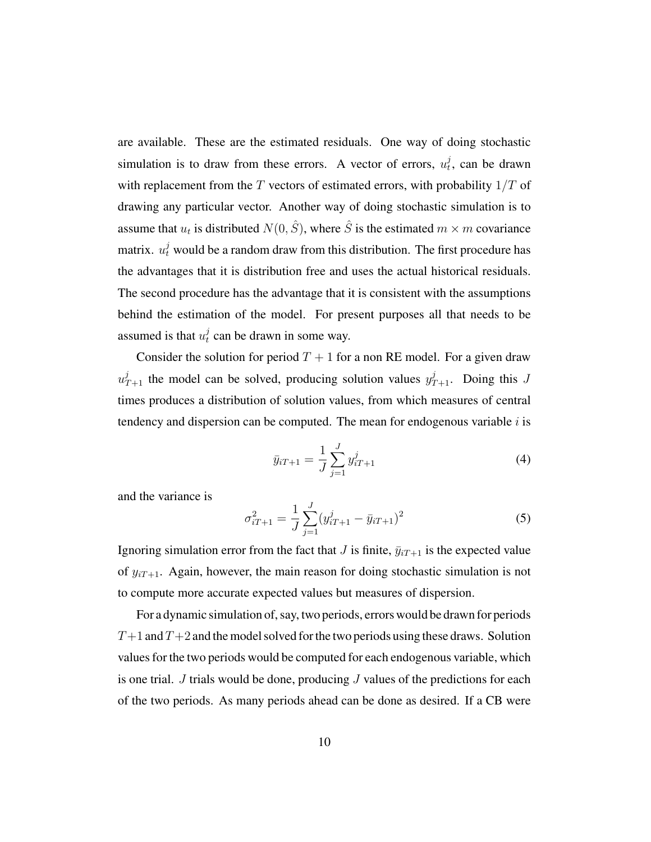are available. These are the estimated residuals. One way of doing stochastic simulation is to draw from these errors. A vector of errors,  $u_t^j$  $t<sub>t</sub>$ , can be drawn with replacement from the  $T$  vectors of estimated errors, with probability  $1/T$  of drawing any particular vector. Another way of doing stochastic simulation is to assume that  $u_t$  is distributed  $N(0, \hat{S})$ , where  $\hat{S}$  is the estimated  $m \times m$  covariance matrix.  $u_t^j$  would be a random draw from this distribution. The first procedure has the advantages that it is distribution free and uses the actual historical residuals. The second procedure has the advantage that it is consistent with the assumptions behind the estimation of the model. For present purposes all that needs to be assumed is that  $u_t^j$  can be drawn in some way.

Consider the solution for period  $T + 1$  for a non RE model. For a given draw  $u_{T+1}^j$  the model can be solved, producing solution values  $y_{T+1}^j$ . Doing this J times produces a distribution of solution values, from which measures of central tendency and dispersion can be computed. The mean for endogenous variable  $i$  is

$$
\bar{y}_{iT+1} = \frac{1}{J} \sum_{j=1}^{J} y_{iT+1}^j
$$
\n(4)

and the variance is

$$
\sigma_{iT+1}^2 = \frac{1}{J} \sum_{j=1}^{J} (y_{iT+1}^j - \bar{y}_{iT+1})^2
$$
 (5)

Ignoring simulation error from the fact that J is finite,  $\bar{y}_{iT+1}$  is the expected value of  $y_{iT+1}$ . Again, however, the main reason for doing stochastic simulation is not to compute more accurate expected values but measures of dispersion.

For a dynamic simulation of, say, two periods, errors would be drawn for periods  $T+1$  and  $T+2$  and the model solved for the two periods using these draws. Solution values for the two periods would be computed for each endogenous variable, which is one trial. J trials would be done, producing  $J$  values of the predictions for each of the two periods. As many periods ahead can be done as desired. If a CB were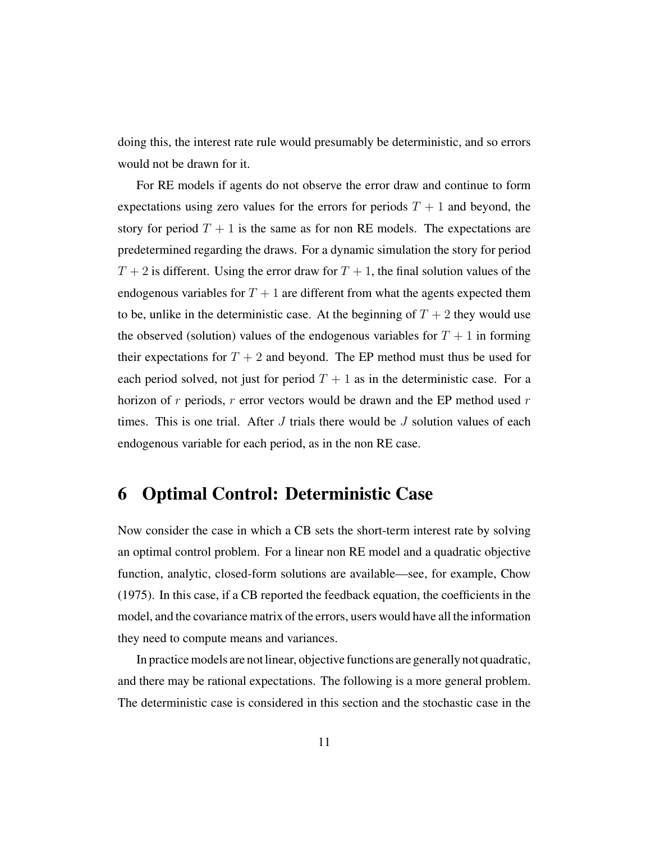doing this, the interest rate rule would presumably be deterministic, and so errors would not be drawn for it.

For RE models if agents do not observe the error draw and continue to form expectations using zero values for the errors for periods  $T + 1$  and beyond, the story for period  $T + 1$  is the same as for non RE models. The expectations are predetermined regarding the draws. For a dynamic simulation the story for period  $T + 2$  is different. Using the error draw for  $T + 1$ , the final solution values of the endogenous variables for  $T + 1$  are different from what the agents expected them to be, unlike in the deterministic case. At the beginning of  $T + 2$  they would use the observed (solution) values of the endogenous variables for  $T + 1$  in forming their expectations for  $T + 2$  and beyond. The EP method must thus be used for each period solved, not just for period  $T + 1$  as in the deterministic case. For a horizon of  $r$  periods,  $r$  error vectors would be drawn and the EP method used  $r$ times. This is one trial. After  $J$  trials there would be  $J$  solution values of each endogenous variable for each period, as in the non RE case.

#### 6 Optimal Control: Deterministic Case

Now consider the case in which a CB sets the short-term interest rate by solving an optimal control problem. For a linear non RE model and a quadratic objective function, analytic, closed-form solutions are available—see, for example, Chow (1975). In this case, if a CB reported the feedback equation, the coefficients in the model, and the covariance matrix of the errors, users would have all the information they need to compute means and variances.

In practice models are not linear, objective functions are generally not quadratic, and there may be rational expectations. The following is a more general problem. The deterministic case is considered in this section and the stochastic case in the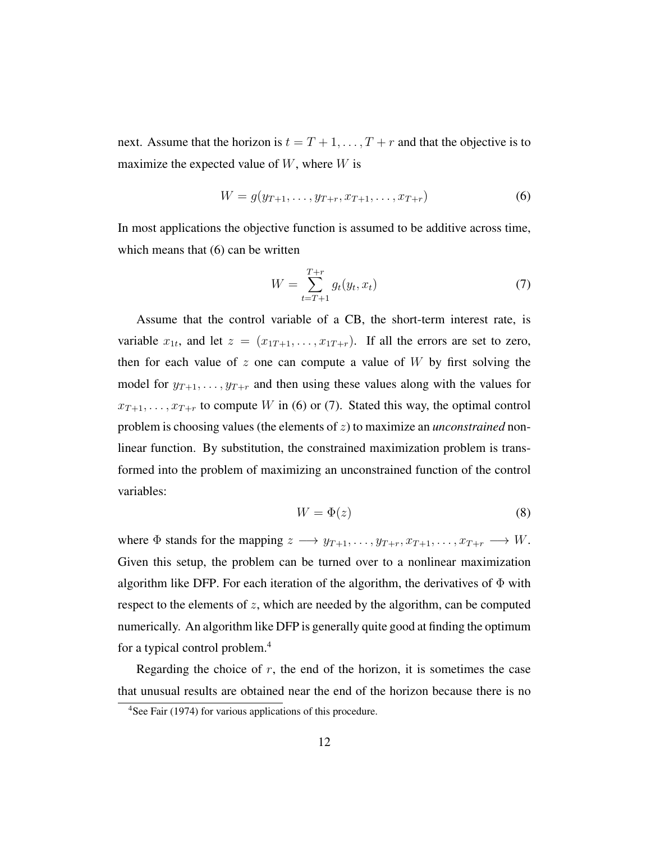next. Assume that the horizon is  $t = T + 1, \ldots, T + r$  and that the objective is to maximize the expected value of  $W$ , where  $W$  is

$$
W = g(y_{T+1}, \dots, y_{T+r}, x_{T+1}, \dots, x_{T+r})
$$
\n<sup>(6)</sup>

In most applications the objective function is assumed to be additive across time, which means that (6) can be written

$$
W = \sum_{t=T+1}^{T+r} g_t(y_t, x_t)
$$
\n(7)

Assume that the control variable of a CB, the short-term interest rate, is variable  $x_{1t}$ , and let  $z = (x_{1T+1}, \ldots, x_{1T+r})$ . If all the errors are set to zero, then for each value of  $z$  one can compute a value of  $W$  by first solving the model for  $y_{T+1}, \ldots, y_{T+r}$  and then using these values along with the values for  $x_{T+1}, \ldots, x_{T+r}$  to compute W in (6) or (7). Stated this way, the optimal control problem is choosing values (the elements of z) to maximize an *unconstrained* nonlinear function. By substitution, the constrained maximization problem is transformed into the problem of maximizing an unconstrained function of the control variables:

$$
W = \Phi(z) \tag{8}
$$

where  $\Phi$  stands for the mapping  $z \longrightarrow y_{T+1}, \ldots, y_{T+r}, x_{T+1}, \ldots, x_{T+r} \longrightarrow W$ . Given this setup, the problem can be turned over to a nonlinear maximization algorithm like DFP. For each iteration of the algorithm, the derivatives of  $\Phi$  with respect to the elements of  $z$ , which are needed by the algorithm, can be computed numerically. An algorithm like DFP is generally quite good at finding the optimum for a typical control problem.<sup>4</sup>

Regarding the choice of  $r$ , the end of the horizon, it is sometimes the case that unusual results are obtained near the end of the horizon because there is no

<sup>&</sup>lt;sup>4</sup>See Fair (1974) for various applications of this procedure.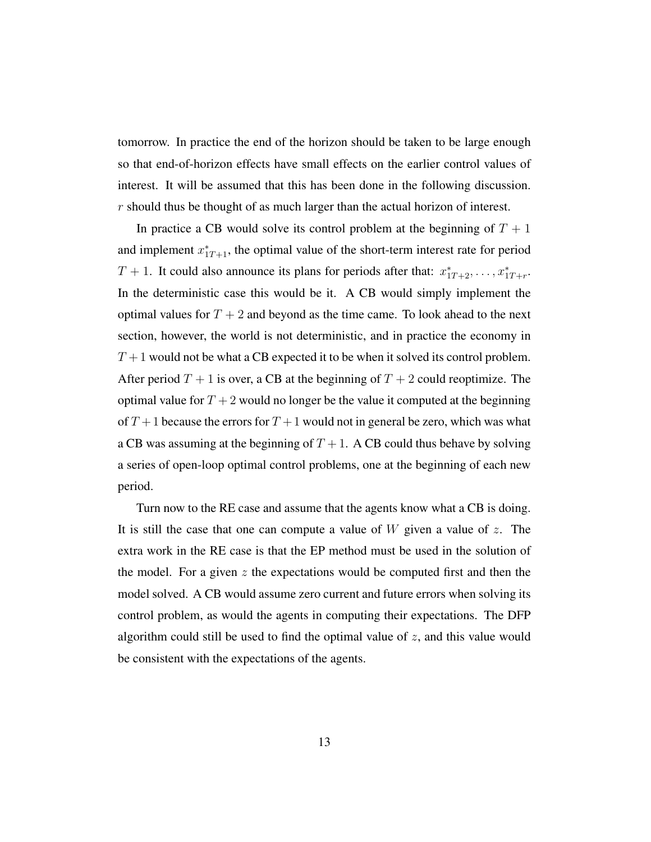tomorrow. In practice the end of the horizon should be taken to be large enough so that end-of-horizon effects have small effects on the earlier control values of interest. It will be assumed that this has been done in the following discussion.  $r$  should thus be thought of as much larger than the actual horizon of interest.

In practice a CB would solve its control problem at the beginning of  $T + 1$ and implement  $x_{1T+1}^*$ , the optimal value of the short-term interest rate for period T + 1. It could also announce its plans for periods after that:  $x_{1T+2}^*, \ldots, x_{1T+r}^*$ . In the deterministic case this would be it. A CB would simply implement the optimal values for  $T + 2$  and beyond as the time came. To look ahead to the next section, however, the world is not deterministic, and in practice the economy in  $T+1$  would not be what a CB expected it to be when it solved its control problem. After period  $T + 1$  is over, a CB at the beginning of  $T + 2$  could reoptimize. The optimal value for  $T + 2$  would no longer be the value it computed at the beginning of  $T+1$  because the errors for  $T+1$  would not in general be zero, which was what a CB was assuming at the beginning of  $T + 1$ . A CB could thus behave by solving a series of open-loop optimal control problems, one at the beginning of each new period.

Turn now to the RE case and assume that the agents know what a CB is doing. It is still the case that one can compute a value of W given a value of  $z$ . The extra work in the RE case is that the EP method must be used in the solution of the model. For a given  $z$  the expectations would be computed first and then the model solved. A CB would assume zero current and future errors when solving its control problem, as would the agents in computing their expectations. The DFP algorithm could still be used to find the optimal value of  $z$ , and this value would be consistent with the expectations of the agents.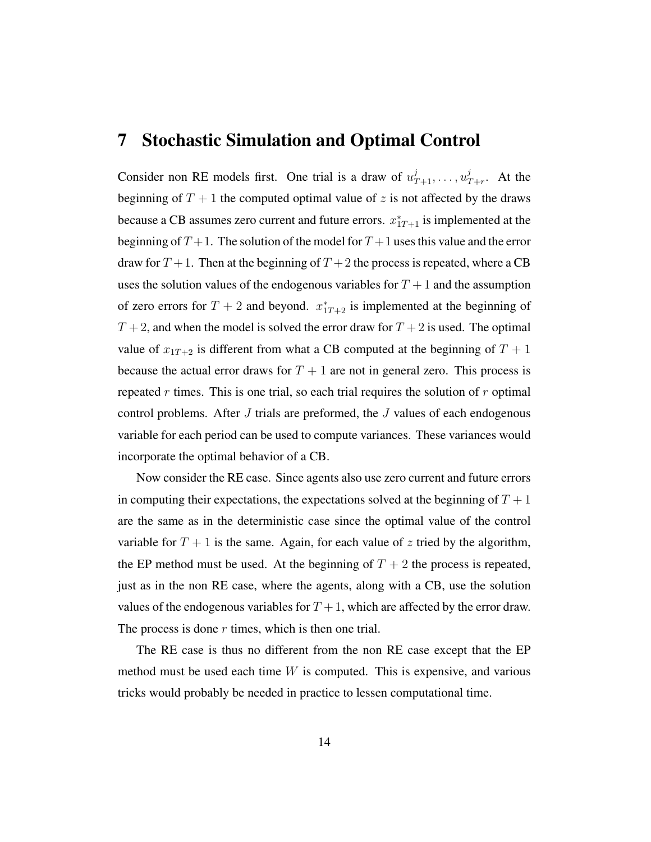#### 7 Stochastic Simulation and Optimal Control

Consider non RE models first. One trial is a draw of  $u^j_{T+1}, \ldots, u^j_T$  $T+r$ . At the beginning of  $T + 1$  the computed optimal value of z is not affected by the draws because a CB assumes zero current and future errors.  $x_{1T+1}^*$  is implemented at the beginning of  $T+1$ . The solution of the model for  $T+1$  uses this value and the error draw for  $T + 1$ . Then at the beginning of  $T + 2$  the process is repeated, where a CB uses the solution values of the endogenous variables for  $T + 1$  and the assumption of zero errors for  $T + 2$  and beyond.  $x_{1T+2}^*$  is implemented at the beginning of  $T + 2$ , and when the model is solved the error draw for  $T + 2$  is used. The optimal value of  $x_{1T+2}$  is different from what a CB computed at the beginning of  $T+1$ because the actual error draws for  $T + 1$  are not in general zero. This process is repeated r times. This is one trial, so each trial requires the solution of  $r$  optimal control problems. After  $J$  trials are preformed, the  $J$  values of each endogenous variable for each period can be used to compute variances. These variances would incorporate the optimal behavior of a CB.

Now consider the RE case. Since agents also use zero current and future errors in computing their expectations, the expectations solved at the beginning of  $T+1$ are the same as in the deterministic case since the optimal value of the control variable for  $T + 1$  is the same. Again, for each value of z tried by the algorithm, the EP method must be used. At the beginning of  $T + 2$  the process is repeated, just as in the non RE case, where the agents, along with a CB, use the solution values of the endogenous variables for  $T + 1$ , which are affected by the error draw. The process is done  $r$  times, which is then one trial.

The RE case is thus no different from the non RE case except that the EP method must be used each time  $W$  is computed. This is expensive, and various tricks would probably be needed in practice to lessen computational time.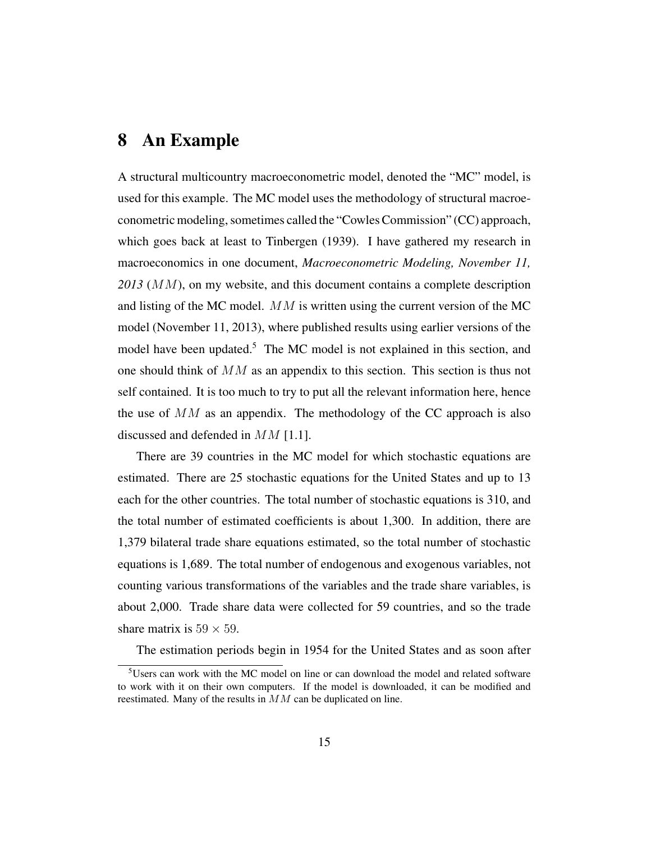#### 8 An Example

A structural multicountry macroeconometric model, denoted the "MC" model, is used for this example. The MC model uses the methodology of structural macroeconometric modeling, sometimes called the "Cowles Commission" (CC) approach, which goes back at least to Tinbergen (1939). I have gathered my research in macroeconomics in one document, *Macroeconometric Modeling, November 11, 2013* (MM), on my website, and this document contains a complete description and listing of the MC model. MM is written using the current version of the MC model (November 11, 2013), where published results using earlier versions of the model have been updated.<sup>5</sup> The MC model is not explained in this section, and one should think of  $MM$  as an appendix to this section. This section is thus not self contained. It is too much to try to put all the relevant information here, hence the use of  $MM$  as an appendix. The methodology of the CC approach is also discussed and defended in  $MM$  [1.1].

There are 39 countries in the MC model for which stochastic equations are estimated. There are 25 stochastic equations for the United States and up to 13 each for the other countries. The total number of stochastic equations is 310, and the total number of estimated coefficients is about 1,300. In addition, there are 1,379 bilateral trade share equations estimated, so the total number of stochastic equations is 1,689. The total number of endogenous and exogenous variables, not counting various transformations of the variables and the trade share variables, is about 2,000. Trade share data were collected for 59 countries, and so the trade share matrix is  $59 \times 59$ .

The estimation periods begin in 1954 for the United States and as soon after

<sup>5</sup>Users can work with the MC model on line or can download the model and related software to work with it on their own computers. If the model is downloaded, it can be modified and reestimated. Many of the results in MM can be duplicated on line.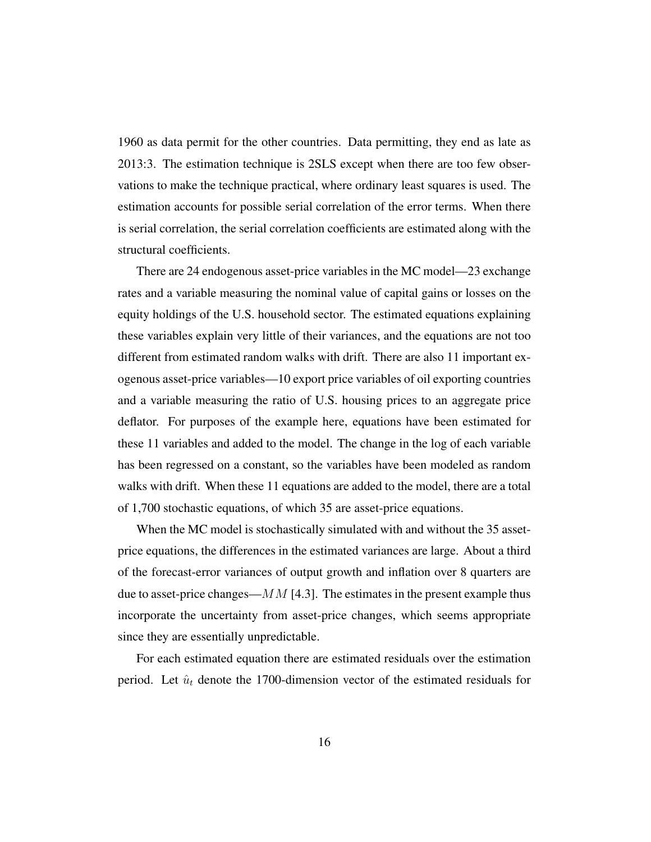1960 as data permit for the other countries. Data permitting, they end as late as 2013:3. The estimation technique is 2SLS except when there are too few observations to make the technique practical, where ordinary least squares is used. The estimation accounts for possible serial correlation of the error terms. When there is serial correlation, the serial correlation coefficients are estimated along with the structural coefficients.

There are 24 endogenous asset-price variables in the MC model—23 exchange rates and a variable measuring the nominal value of capital gains or losses on the equity holdings of the U.S. household sector. The estimated equations explaining these variables explain very little of their variances, and the equations are not too different from estimated random walks with drift. There are also 11 important exogenous asset-price variables—10 export price variables of oil exporting countries and a variable measuring the ratio of U.S. housing prices to an aggregate price deflator. For purposes of the example here, equations have been estimated for these 11 variables and added to the model. The change in the log of each variable has been regressed on a constant, so the variables have been modeled as random walks with drift. When these 11 equations are added to the model, there are a total of 1,700 stochastic equations, of which 35 are asset-price equations.

When the MC model is stochastically simulated with and without the 35 assetprice equations, the differences in the estimated variances are large. About a third of the forecast-error variances of output growth and inflation over 8 quarters are due to asset-price changes— $MM$  [4.3]. The estimates in the present example thus incorporate the uncertainty from asset-price changes, which seems appropriate since they are essentially unpredictable.

For each estimated equation there are estimated residuals over the estimation period. Let  $\hat{u}_t$  denote the 1700-dimension vector of the estimated residuals for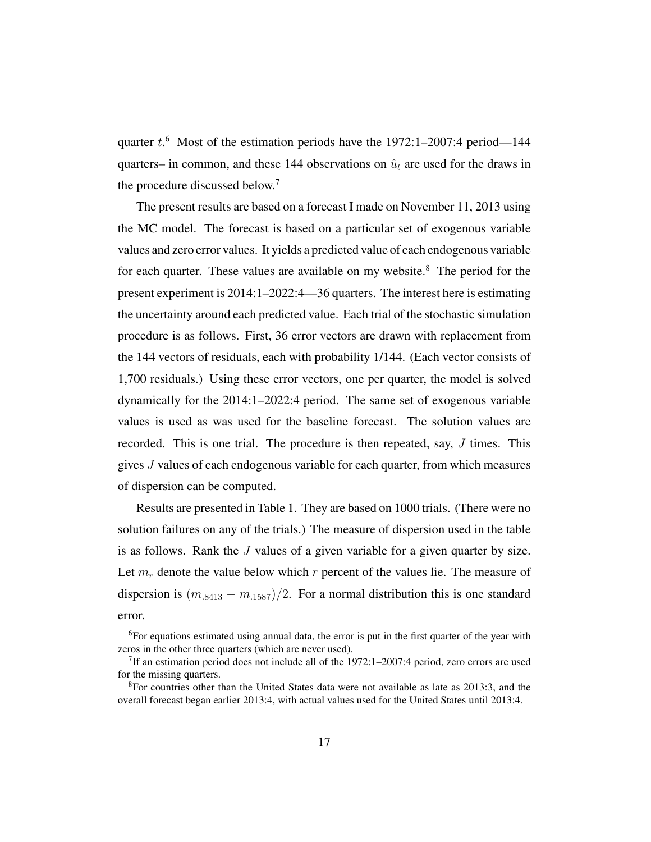quarter  $t$ <sup>6</sup>. Most of the estimation periods have the 1972:1–2007:4 period—144 quarters– in common, and these 144 observations on  $\hat{u}_t$  are used for the draws in the procedure discussed below.<sup>7</sup>

The present results are based on a forecast I made on November 11, 2013 using the MC model. The forecast is based on a particular set of exogenous variable values and zero error values. It yields a predicted value of each endogenous variable for each quarter. These values are available on my website. $8\text{ }$  The period for the present experiment is 2014:1–2022:4—36 quarters. The interest here is estimating the uncertainty around each predicted value. Each trial of the stochastic simulation procedure is as follows. First, 36 error vectors are drawn with replacement from the 144 vectors of residuals, each with probability 1/144. (Each vector consists of 1,700 residuals.) Using these error vectors, one per quarter, the model is solved dynamically for the 2014:1–2022:4 period. The same set of exogenous variable values is used as was used for the baseline forecast. The solution values are recorded. This is one trial. The procedure is then repeated, say, J times. This gives J values of each endogenous variable for each quarter, from which measures of dispersion can be computed.

Results are presented in Table 1. They are based on 1000 trials. (There were no solution failures on any of the trials.) The measure of dispersion used in the table is as follows. Rank the J values of a given variable for a given quarter by size. Let  $m_r$  denote the value below which r percent of the values lie. The measure of dispersion is  $(m_{.8413} - m_{.1587})/2$ . For a normal distribution this is one standard error.

<sup>6</sup>For equations estimated using annual data, the error is put in the first quarter of the year with zeros in the other three quarters (which are never used).

<sup>&</sup>lt;sup>7</sup>If an estimation period does not include all of the  $1972:1-2007:4$  period, zero errors are used for the missing quarters.

<sup>8</sup>For countries other than the United States data were not available as late as 2013:3, and the overall forecast began earlier 2013:4, with actual values used for the United States until 2013:4.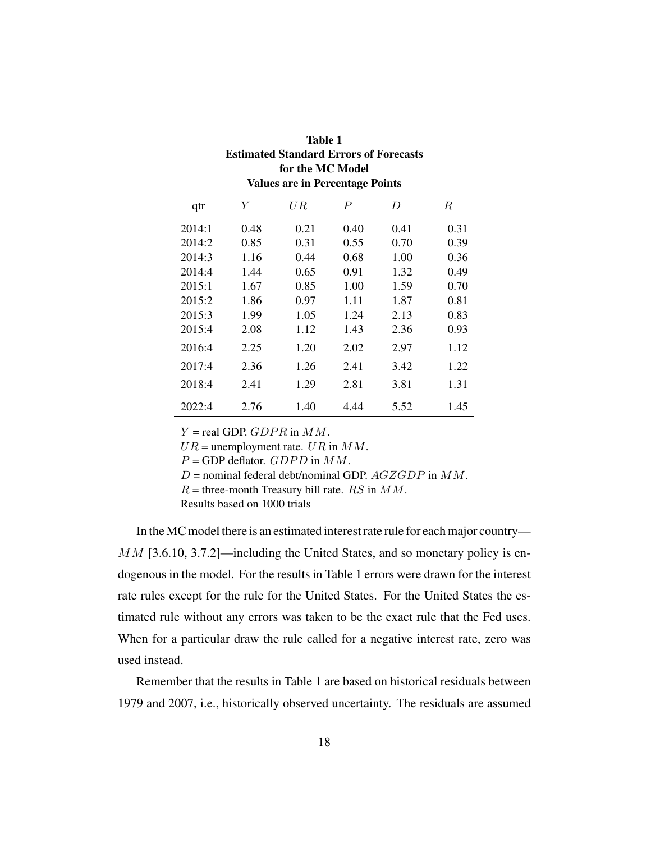| <b>ESUMBLEQ STANDARD EXTORS OF FORECASTS</b><br>for the MC Model<br><b>Values are in Percentage Points</b> |      |      |                  |      |      |
|------------------------------------------------------------------------------------------------------------|------|------|------------------|------|------|
| qtr                                                                                                        | Y    | UR   | $\boldsymbol{P}$ | D    | R    |
| 2014:1                                                                                                     | 0.48 | 0.21 | 0.40             | 0.41 | 0.31 |
| 2014:2                                                                                                     | 0.85 | 0.31 | 0.55             | 0.70 | 0.39 |
| 2014:3                                                                                                     | 1.16 | 0.44 | 0.68             | 1.00 | 0.36 |
| 2014:4                                                                                                     | 1.44 | 0.65 | 0.91             | 1.32 | 0.49 |
| 2015:1                                                                                                     | 1.67 | 0.85 | 1.00             | 1.59 | 0.70 |
| 2015:2                                                                                                     | 1.86 | 0.97 | 1.11             | 1.87 | 0.81 |
| 2015:3                                                                                                     | 1.99 | 1.05 | 1.24             | 2.13 | 0.83 |
| 2015:4                                                                                                     | 2.08 | 1.12 | 1.43             | 2.36 | 0.93 |
| 2016:4                                                                                                     | 2.25 | 1.20 | 2.02             | 2.97 | 1.12 |
| 2017:4                                                                                                     | 2.36 | 1.26 | 2.41             | 3.42 | 1.22 |
| 2018:4                                                                                                     | 2.41 | 1.29 | 2.81             | 3.81 | 1.31 |
| 2022:4                                                                                                     | 2.76 | 1.40 | 4.44             | 5.52 | 1.45 |

Table 1 Estimated Standard Errors of Forecasts

 $Y$  = real GDP. *GDPR* in MM.

 $UR =$  unemployment rate.  $UR$  in  $MM$ .

 $P =$  GDP deflator. *GDPD* in  $MM$ .

 $D =$  nominal federal debt/nominal GDP.  $AGZGDP$  in MM.

 $R =$  three-month Treasury bill rate. RS in MM.

Results based on 1000 trials

In the MC model there is an estimated interest rate rule for each major country— MM [3.6.10, 3.7.2]—including the United States, and so monetary policy is endogenous in the model. For the results in Table 1 errors were drawn for the interest rate rules except for the rule for the United States. For the United States the estimated rule without any errors was taken to be the exact rule that the Fed uses. When for a particular draw the rule called for a negative interest rate, zero was used instead.

Remember that the results in Table 1 are based on historical residuals between 1979 and 2007, i.e., historically observed uncertainty. The residuals are assumed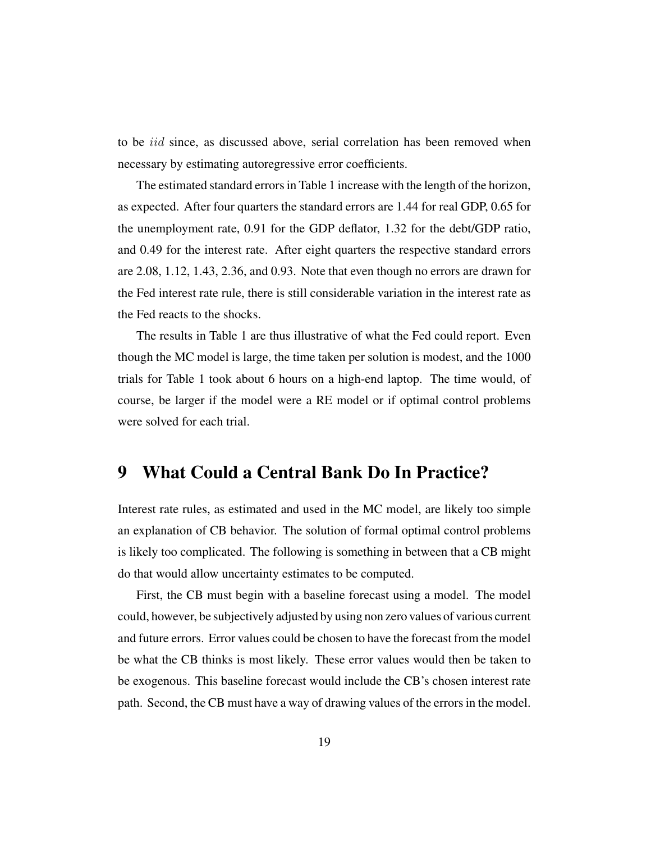to be *iid* since, as discussed above, serial correlation has been removed when necessary by estimating autoregressive error coefficients.

The estimated standard errors in Table 1 increase with the length of the horizon, as expected. After four quarters the standard errors are 1.44 for real GDP, 0.65 for the unemployment rate, 0.91 for the GDP deflator, 1.32 for the debt/GDP ratio, and 0.49 for the interest rate. After eight quarters the respective standard errors are 2.08, 1.12, 1.43, 2.36, and 0.93. Note that even though no errors are drawn for the Fed interest rate rule, there is still considerable variation in the interest rate as the Fed reacts to the shocks.

The results in Table 1 are thus illustrative of what the Fed could report. Even though the MC model is large, the time taken per solution is modest, and the 1000 trials for Table 1 took about 6 hours on a high-end laptop. The time would, of course, be larger if the model were a RE model or if optimal control problems were solved for each trial.

#### 9 What Could a Central Bank Do In Practice?

Interest rate rules, as estimated and used in the MC model, are likely too simple an explanation of CB behavior. The solution of formal optimal control problems is likely too complicated. The following is something in between that a CB might do that would allow uncertainty estimates to be computed.

First, the CB must begin with a baseline forecast using a model. The model could, however, be subjectively adjusted by using non zero values of various current and future errors. Error values could be chosen to have the forecast from the model be what the CB thinks is most likely. These error values would then be taken to be exogenous. This baseline forecast would include the CB's chosen interest rate path. Second, the CB must have a way of drawing values of the errors in the model.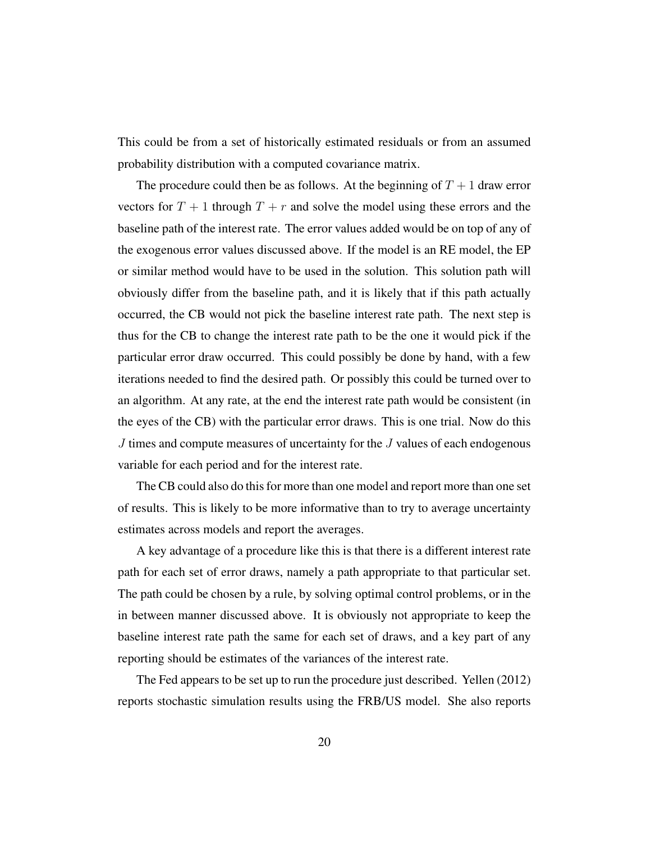This could be from a set of historically estimated residuals or from an assumed probability distribution with a computed covariance matrix.

The procedure could then be as follows. At the beginning of  $T + 1$  draw error vectors for  $T + 1$  through  $T + r$  and solve the model using these errors and the baseline path of the interest rate. The error values added would be on top of any of the exogenous error values discussed above. If the model is an RE model, the EP or similar method would have to be used in the solution. This solution path will obviously differ from the baseline path, and it is likely that if this path actually occurred, the CB would not pick the baseline interest rate path. The next step is thus for the CB to change the interest rate path to be the one it would pick if the particular error draw occurred. This could possibly be done by hand, with a few iterations needed to find the desired path. Or possibly this could be turned over to an algorithm. At any rate, at the end the interest rate path would be consistent (in the eyes of the CB) with the particular error draws. This is one trial. Now do this  $J$  times and compute measures of uncertainty for the  $J$  values of each endogenous variable for each period and for the interest rate.

The CB could also do this for more than one model and report more than one set of results. This is likely to be more informative than to try to average uncertainty estimates across models and report the averages.

A key advantage of a procedure like this is that there is a different interest rate path for each set of error draws, namely a path appropriate to that particular set. The path could be chosen by a rule, by solving optimal control problems, or in the in between manner discussed above. It is obviously not appropriate to keep the baseline interest rate path the same for each set of draws, and a key part of any reporting should be estimates of the variances of the interest rate.

The Fed appears to be set up to run the procedure just described. Yellen (2012) reports stochastic simulation results using the FRB/US model. She also reports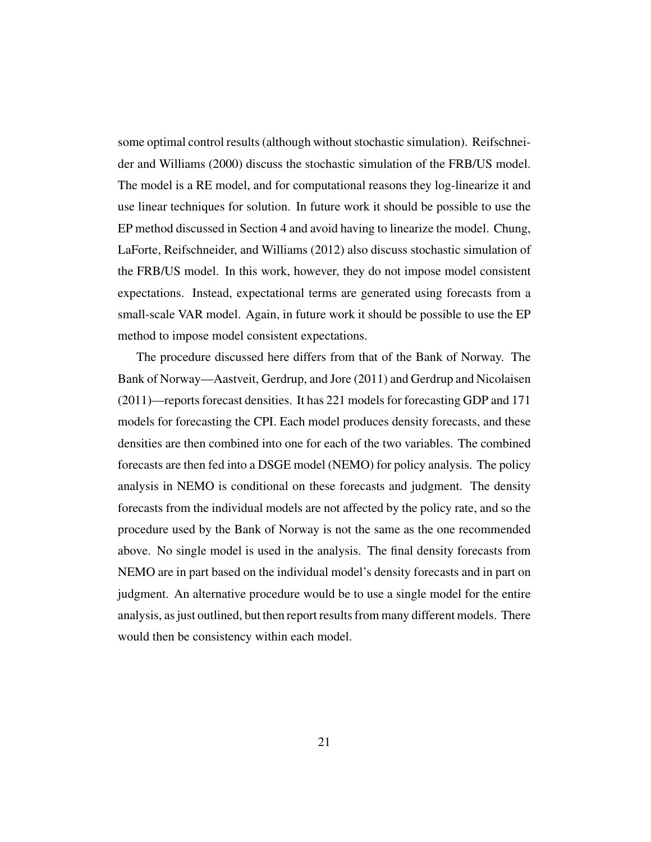some optimal control results (although without stochastic simulation). Reifschneider and Williams (2000) discuss the stochastic simulation of the FRB/US model. The model is a RE model, and for computational reasons they log-linearize it and use linear techniques for solution. In future work it should be possible to use the EP method discussed in Section 4 and avoid having to linearize the model. Chung, LaForte, Reifschneider, and Williams (2012) also discuss stochastic simulation of the FRB/US model. In this work, however, they do not impose model consistent expectations. Instead, expectational terms are generated using forecasts from a small-scale VAR model. Again, in future work it should be possible to use the EP method to impose model consistent expectations.

The procedure discussed here differs from that of the Bank of Norway. The Bank of Norway—Aastveit, Gerdrup, and Jore (2011) and Gerdrup and Nicolaisen (2011)—reports forecast densities. It has 221 models for forecasting GDP and 171 models for forecasting the CPI. Each model produces density forecasts, and these densities are then combined into one for each of the two variables. The combined forecasts are then fed into a DSGE model (NEMO) for policy analysis. The policy analysis in NEMO is conditional on these forecasts and judgment. The density forecasts from the individual models are not affected by the policy rate, and so the procedure used by the Bank of Norway is not the same as the one recommended above. No single model is used in the analysis. The final density forecasts from NEMO are in part based on the individual model's density forecasts and in part on judgment. An alternative procedure would be to use a single model for the entire analysis, as just outlined, but then report results from many different models. There would then be consistency within each model.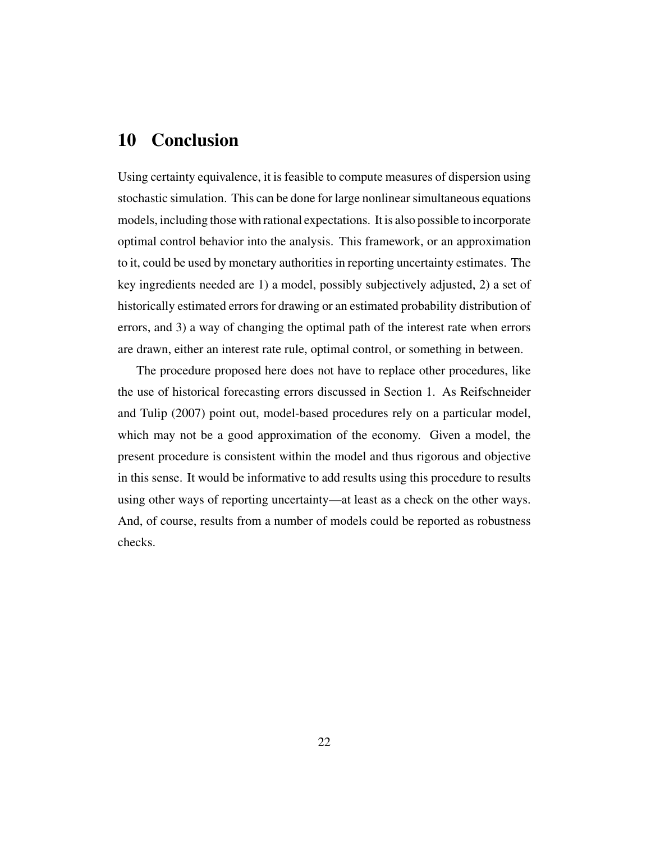### 10 Conclusion

Using certainty equivalence, it is feasible to compute measures of dispersion using stochastic simulation. This can be done for large nonlinear simultaneous equations models, including those with rational expectations. It is also possible to incorporate optimal control behavior into the analysis. This framework, or an approximation to it, could be used by monetary authorities in reporting uncertainty estimates. The key ingredients needed are 1) a model, possibly subjectively adjusted, 2) a set of historically estimated errors for drawing or an estimated probability distribution of errors, and 3) a way of changing the optimal path of the interest rate when errors are drawn, either an interest rate rule, optimal control, or something in between.

The procedure proposed here does not have to replace other procedures, like the use of historical forecasting errors discussed in Section 1. As Reifschneider and Tulip (2007) point out, model-based procedures rely on a particular model, which may not be a good approximation of the economy. Given a model, the present procedure is consistent within the model and thus rigorous and objective in this sense. It would be informative to add results using this procedure to results using other ways of reporting uncertainty—at least as a check on the other ways. And, of course, results from a number of models could be reported as robustness checks.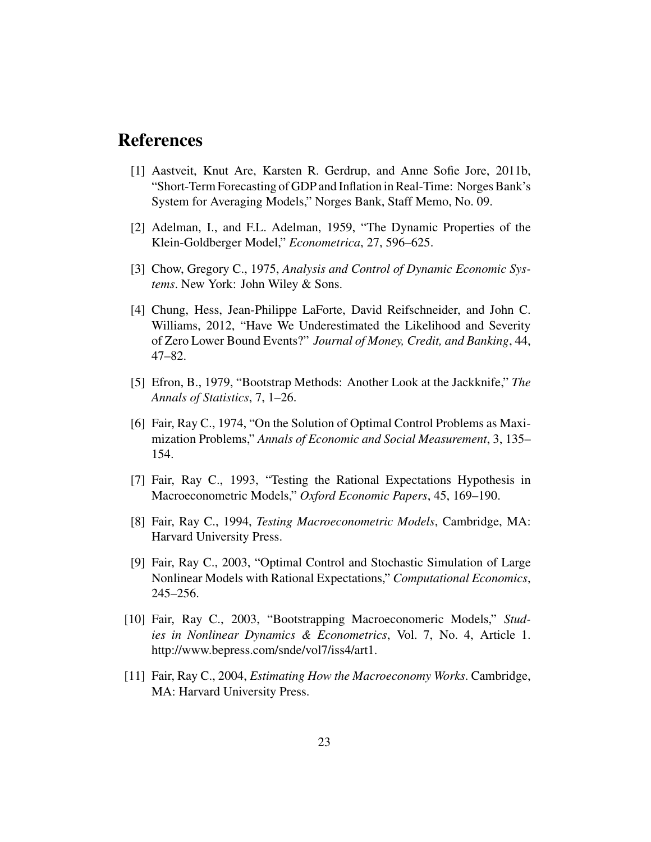#### References

- [1] Aastveit, Knut Are, Karsten R. Gerdrup, and Anne Sofie Jore, 2011b, "Short-Term Forecasting of GDP and Inflation in Real-Time: Norges Bank's System for Averaging Models," Norges Bank, Staff Memo, No. 09.
- [2] Adelman, I., and F.L. Adelman, 1959, "The Dynamic Properties of the Klein-Goldberger Model," *Econometrica*, 27, 596–625.
- [3] Chow, Gregory C., 1975, *Analysis and Control of Dynamic Economic Systems*. New York: John Wiley & Sons.
- [4] Chung, Hess, Jean-Philippe LaForte, David Reifschneider, and John C. Williams, 2012, "Have We Underestimated the Likelihood and Severity of Zero Lower Bound Events?" *Journal of Money, Credit, and Banking*, 44, 47–82.
- [5] Efron, B., 1979, "Bootstrap Methods: Another Look at the Jackknife," *The Annals of Statistics*, 7, 1–26.
- [6] Fair, Ray C., 1974, "On the Solution of Optimal Control Problems as Maximization Problems," *Annals of Economic and Social Measurement*, 3, 135– 154.
- [7] Fair, Ray C., 1993, "Testing the Rational Expectations Hypothesis in Macroeconometric Models," *Oxford Economic Papers*, 45, 169–190.
- [8] Fair, Ray C., 1994, *Testing Macroeconometric Models*, Cambridge, MA: Harvard University Press.
- [9] Fair, Ray C., 2003, "Optimal Control and Stochastic Simulation of Large Nonlinear Models with Rational Expectations," *Computational Economics*, 245–256.
- [10] Fair, Ray C., 2003, "Bootstrapping Macroeconomeric Models," *Studies in Nonlinear Dynamics & Econometrics*, Vol. 7, No. 4, Article 1. http://www.bepress.com/snde/vol7/iss4/art1.
- [11] Fair, Ray C., 2004, *Estimating How the Macroeconomy Works*. Cambridge, MA: Harvard University Press.